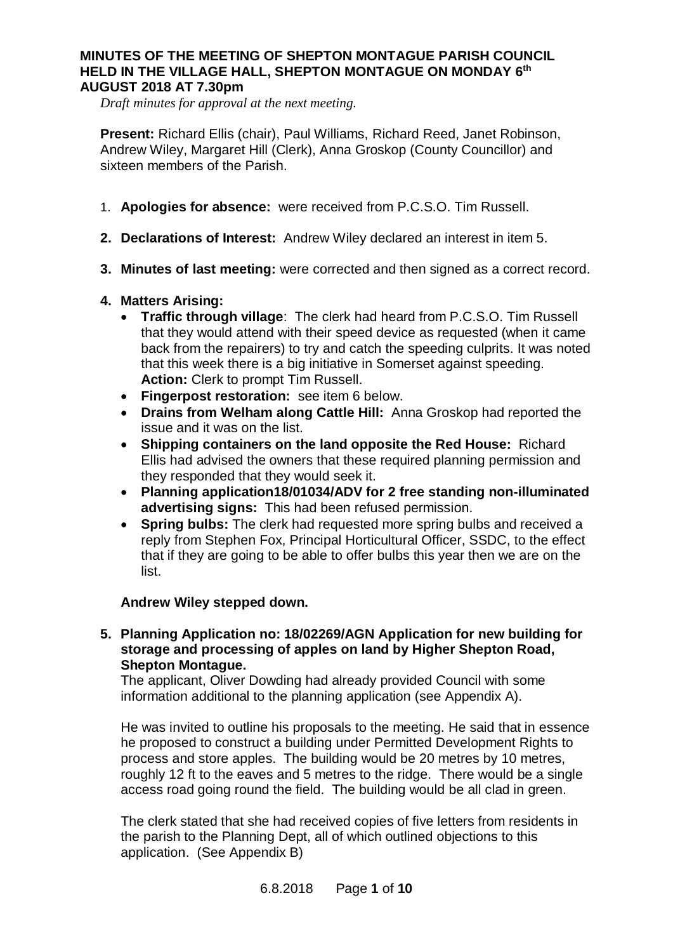#### **MINUTES OF THE MEETING OF SHEPTON MONTAGUE PARISH COUNCIL HELD IN THE VILLAGE HALL, SHEPTON MONTAGUE ON MONDAY 6th AUGUST 2018 AT 7.30pm**

*Draft minutes for approval at the next meeting.*

**Present:** Richard Ellis (chair), Paul Williams, Richard Reed, Janet Robinson, Andrew Wiley, Margaret Hill (Clerk), Anna Groskop (County Councillor) and sixteen members of the Parish.

- 1. **Apologies for absence:** were received from P.C.S.O. Tim Russell.
- **2. Declarations of Interest:** Andrew Wiley declared an interest in item 5.
- **3. Minutes of last meeting:** were corrected and then signed as a correct record.

### **4. Matters Arising:**

- · **Traffic through village**: The clerk had heard from P.C.S.O. Tim Russell that they would attend with their speed device as requested (when it came back from the repairers) to try and catch the speeding culprits. It was noted that this week there is a big initiative in Somerset against speeding. **Action:** Clerk to prompt Tim Russell.
- · **Fingerpost restoration:** see item 6 below.
- · **Drains from Welham along Cattle Hill:** Anna Groskop had reported the issue and it was on the list.
- · **Shipping containers on the land opposite the Red House:** Richard Ellis had advised the owners that these required planning permission and they responded that they would seek it.
- · **Planning application18/01034/ADV for 2 free standing non-illuminated advertising signs:** This had been refused permission.
- · **Spring bulbs:** The clerk had requested more spring bulbs and received a reply from Stephen Fox, Principal Horticultural Officer, SSDC, to the effect that if they are going to be able to offer bulbs this year then we are on the list.

### **Andrew Wiley stepped down.**

### **5. Planning Application no: 18/02269/AGN Application for new building for storage and processing of apples on land by Higher Shepton Road, Shepton Montague.**

The applicant, Oliver Dowding had already provided Council with some information additional to the planning application (see Appendix A).

He was invited to outline his proposals to the meeting. He said that in essence he proposed to construct a building under Permitted Development Rights to process and store apples. The building would be 20 metres by 10 metres, roughly 12 ft to the eaves and 5 metres to the ridge. There would be a single access road going round the field. The building would be all clad in green.

The clerk stated that she had received copies of five letters from residents in the parish to the Planning Dept, all of which outlined objections to this application. (See Appendix B)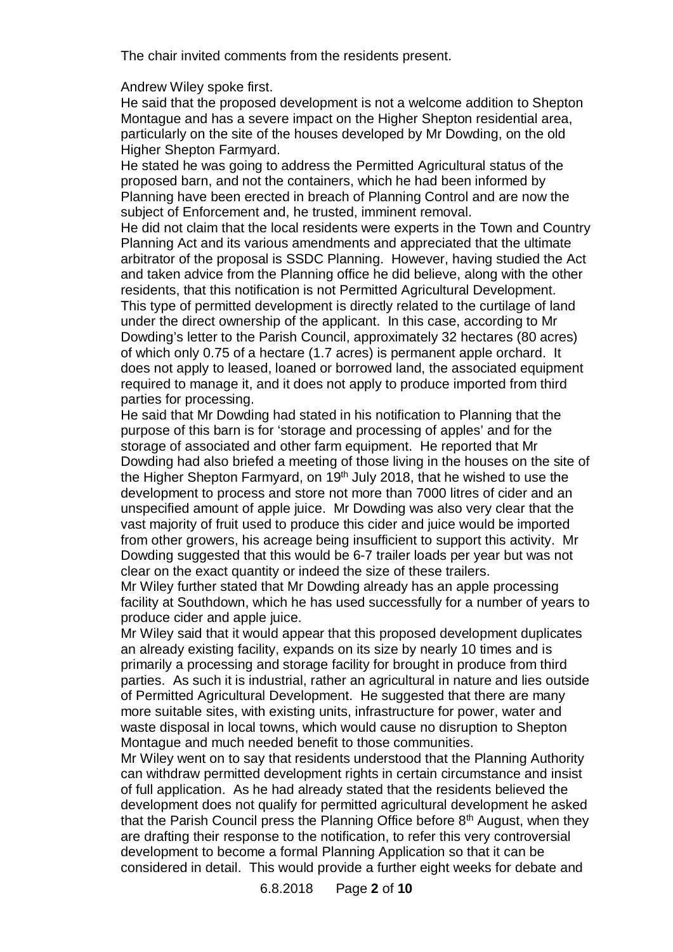The chair invited comments from the residents present.

Andrew Wiley spoke first.

He said that the proposed development is not a welcome addition to Shepton Montague and has a severe impact on the Higher Shepton residential area, particularly on the site of the houses developed by Mr Dowding, on the old Higher Shepton Farmyard.

He stated he was going to address the Permitted Agricultural status of the proposed barn, and not the containers, which he had been informed by Planning have been erected in breach of Planning Control and are now the subject of Enforcement and, he trusted, imminent removal.

He did not claim that the local residents were experts in the Town and Country Planning Act and its various amendments and appreciated that the ultimate arbitrator of the proposal is SSDC Planning. However, having studied the Act and taken advice from the Planning office he did believe, along with the other residents, that this notification is not Permitted Agricultural Development. This type of permitted development is directly related to the curtilage of land under the direct ownership of the applicant. In this case, according to Mr Dowding's letter to the Parish Council, approximately 32 hectares (80 acres) of which only 0.75 of a hectare (1.7 acres) is permanent apple orchard. It does not apply to leased, loaned or borrowed land, the associated equipment required to manage it, and it does not apply to produce imported from third parties for processing.

He said that Mr Dowding had stated in his notification to Planning that the purpose of this barn is for 'storage and processing of apples' and for the storage of associated and other farm equipment. He reported that Mr Dowding had also briefed a meeting of those living in the houses on the site of the Higher Shepton Farmyard, on  $19<sup>th</sup>$  July 2018, that he wished to use the development to process and store not more than 7000 litres of cider and an unspecified amount of apple juice. Mr Dowding was also very clear that the vast majority of fruit used to produce this cider and juice would be imported from other growers, his acreage being insufficient to support this activity. Mr Dowding suggested that this would be 6-7 trailer loads per year but was not clear on the exact quantity or indeed the size of these trailers.

Mr Wiley further stated that Mr Dowding already has an apple processing facility at Southdown, which he has used successfully for a number of years to produce cider and apple juice.

Mr Wiley said that it would appear that this proposed development duplicates an already existing facility, expands on its size by nearly 10 times and is primarily a processing and storage facility for brought in produce from third parties. As such it is industrial, rather an agricultural in nature and lies outside of Permitted Agricultural Development. He suggested that there are many more suitable sites, with existing units, infrastructure for power, water and waste disposal in local towns, which would cause no disruption to Shepton Montague and much needed benefit to those communities.

Mr Wiley went on to say that residents understood that the Planning Authority can withdraw permitted development rights in certain circumstance and insist of full application. As he had already stated that the residents believed the development does not qualify for permitted agricultural development he asked that the Parish Council press the Planning Office before  $8<sup>th</sup>$  August, when they are drafting their response to the notification, to refer this very controversial development to become a formal Planning Application so that it can be considered in detail. This would provide a further eight weeks for debate and

6.8.2018 Page **2** of **10**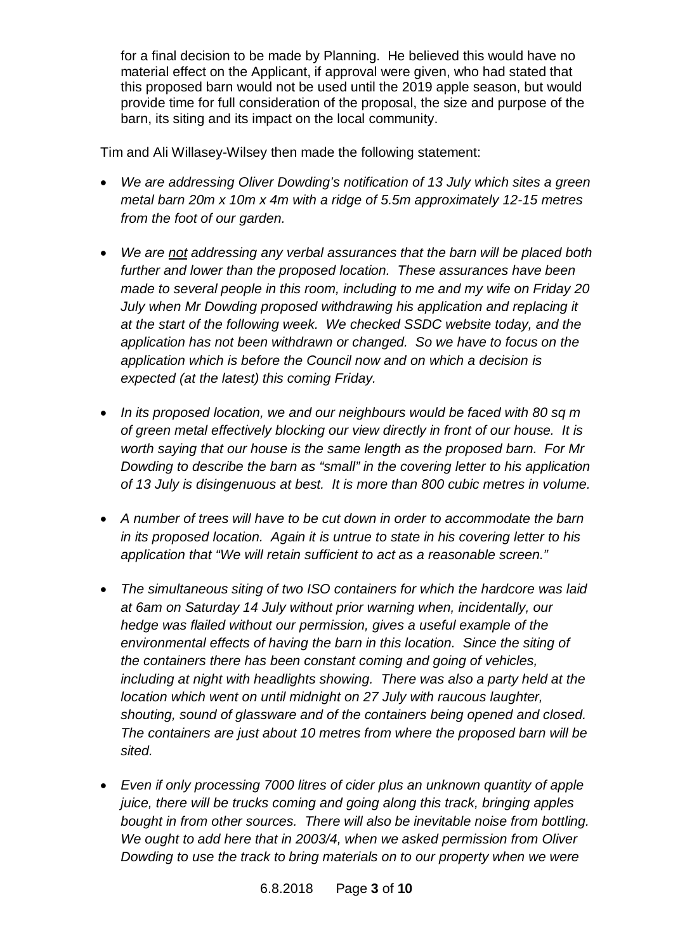for a final decision to be made by Planning. He believed this would have no material effect on the Applicant, if approval were given, who had stated that this proposed barn would not be used until the 2019 apple season, but would provide time for full consideration of the proposal, the size and purpose of the barn, its siting and its impact on the local community.

Tim and Ali Willasey-Wilsey then made the following statement:

- · *We are addressing Oliver Dowding's notification of 13 July which sites a green metal barn 20m x 10m x 4m with a ridge of 5.5m approximately 12-15 metres from the foot of our garden.*
- · *We are not addressing any verbal assurances that the barn will be placed both further and lower than the proposed location. These assurances have been made to several people in this room, including to me and my wife on Friday 20 July when Mr Dowding proposed withdrawing his application and replacing it at the start of the following week. We checked SSDC website today, and the application has not been withdrawn or changed. So we have to focus on the application which is before the Council now and on which a decision is expected (at the latest) this coming Friday.*
- · *In its proposed location, we and our neighbours would be faced with 80 sq m of green metal effectively blocking our view directly in front of our house. It is worth saying that our house is the same length as the proposed barn. For Mr Dowding to describe the barn as "small" in the covering letter to his application of 13 July is disingenuous at best. It is more than 800 cubic metres in volume.*
- · *A number of trees will have to be cut down in order to accommodate the barn in its proposed location. Again it is untrue to state in his covering letter to his application that "We will retain sufficient to act as a reasonable screen."*
- · *The simultaneous siting of two ISO containers for which the hardcore was laid at 6am on Saturday 14 July without prior warning when, incidentally, our hedge was flailed without our permission, gives a useful example of the environmental effects of having the barn in this location. Since the siting of the containers there has been constant coming and going of vehicles, including at night with headlights showing. There was also a party held at the location which went on until midnight on 27 July with raucous laughter, shouting, sound of glassware and of the containers being opened and closed. The containers are just about 10 metres from where the proposed barn will be sited.*
- · *Even if only processing 7000 litres of cider plus an unknown quantity of apple juice, there will be trucks coming and going along this track, bringing apples bought in from other sources. There will also be inevitable noise from bottling. We ought to add here that in 2003/4, when we asked permission from Oliver Dowding to use the track to bring materials on to our property when we were*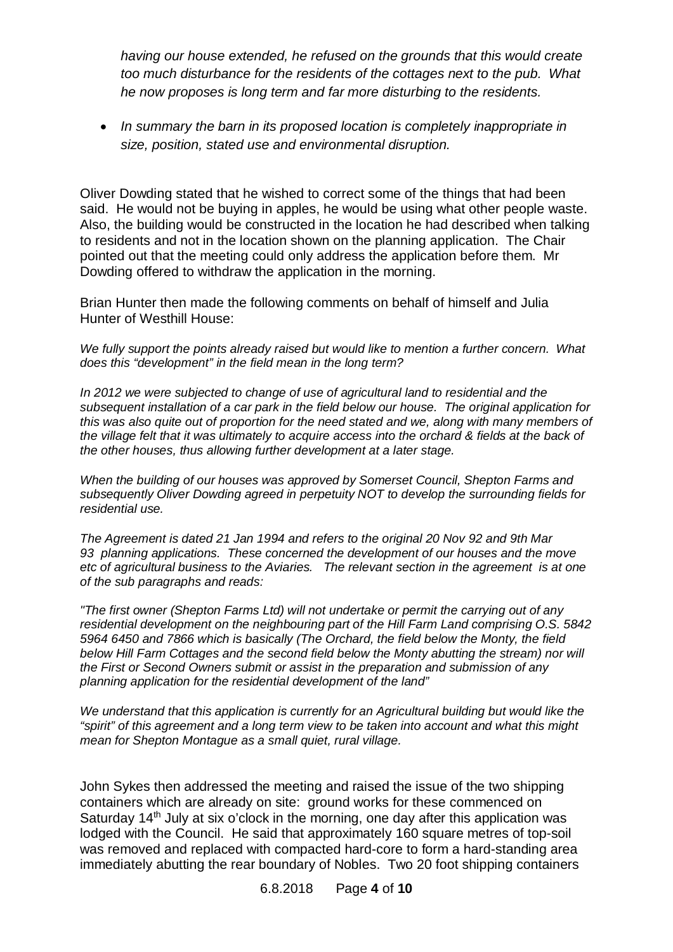*having our house extended, he refused on the grounds that this would create too much disturbance for the residents of the cottages next to the pub. What he now proposes is long term and far more disturbing to the residents.*

· *In summary the barn in its proposed location is completely inappropriate in size, position, stated use and environmental disruption.*

Oliver Dowding stated that he wished to correct some of the things that had been said. He would not be buying in apples, he would be using what other people waste. Also, the building would be constructed in the location he had described when talking to residents and not in the location shown on the planning application. The Chair pointed out that the meeting could only address the application before them. Mr Dowding offered to withdraw the application in the morning.

Brian Hunter then made the following comments on behalf of himself and Julia Hunter of Westhill House:

*We fully support the points already raised but would like to mention a further concern. What does this "development" in the field mean in the long term?*

*In 2012 we were subjected to change of use of agricultural land to residential and the subsequent installation of a car park in the field below our house. The original application for this was also quite out of proportion for the need stated and we, along with many members of the village felt that it was ultimately to acquire access into the orchard & fields at the back of the other houses, thus allowing further development at a later stage.*

*When the building of our houses was approved by Somerset Council, Shepton Farms and subsequently Oliver Dowding agreed in perpetuity NOT to develop the surrounding fields for residential use.*

*The Agreement is dated 21 Jan 1994 and refers to the original 20 Nov 92 and 9th Mar 93 planning applications. These concerned the development of our houses and the move etc of agricultural business to the Aviaries. The relevant section in the agreement is at one of the sub paragraphs and reads:*

*"The first owner (Shepton Farms Ltd) will not undertake or permit the carrying out of any residential development on the neighbouring part of the Hill Farm Land comprising O.S. 5842 5964 6450 and 7866 which is basically (The Orchard, the field below the Monty, the field below Hill Farm Cottages and the second field below the Monty abutting the stream) nor will the First or Second Owners submit or assist in the preparation and submission of any planning application for the residential development of the land"*

*We understand that this application is currently for an Agricultural building but would like the "spirit" of this agreement and a long term view to be taken into account and what this might mean for Shepton Montague as a small quiet, rural village.*

John Sykes then addressed the meeting and raised the issue of the two shipping containers which are already on site: ground works for these commenced on Saturday 14<sup>th</sup> July at six o'clock in the morning, one day after this application was lodged with the Council. He said that approximately 160 square metres of top-soil was removed and replaced with compacted hard-core to form a hard-standing area immediately abutting the rear boundary of Nobles. Two 20 foot shipping containers

6.8.2018 Page **4** of **10**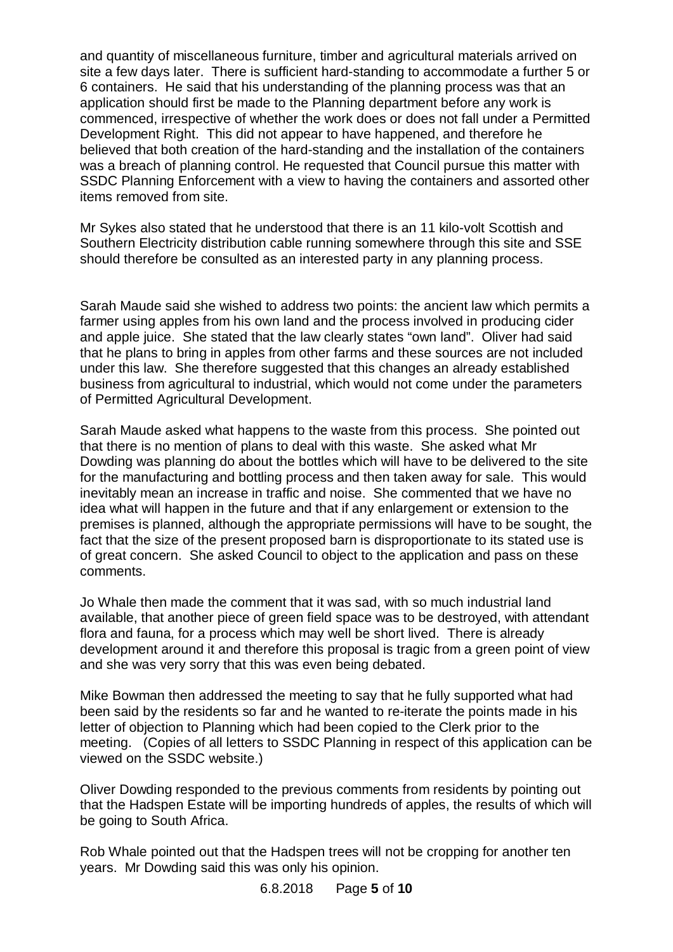and quantity of miscellaneous furniture, timber and agricultural materials arrived on site a few days later. There is sufficient hard-standing to accommodate a further 5 or 6 containers. He said that his understanding of the planning process was that an application should first be made to the Planning department before any work is commenced, irrespective of whether the work does or does not fall under a Permitted Development Right. This did not appear to have happened, and therefore he believed that both creation of the hard-standing and the installation of the containers was a breach of planning control. He requested that Council pursue this matter with SSDC Planning Enforcement with a view to having the containers and assorted other items removed from site.

Mr Sykes also stated that he understood that there is an 11 kilo-volt Scottish and Southern Electricity distribution cable running somewhere through this site and SSE should therefore be consulted as an interested party in any planning process.

Sarah Maude said she wished to address two points: the ancient law which permits a farmer using apples from his own land and the process involved in producing cider and apple juice. She stated that the law clearly states "own land". Oliver had said that he plans to bring in apples from other farms and these sources are not included under this law. She therefore suggested that this changes an already established business from agricultural to industrial, which would not come under the parameters of Permitted Agricultural Development.

Sarah Maude asked what happens to the waste from this process. She pointed out that there is no mention of plans to deal with this waste. She asked what Mr Dowding was planning do about the bottles which will have to be delivered to the site for the manufacturing and bottling process and then taken away for sale. This would inevitably mean an increase in traffic and noise. She commented that we have no idea what will happen in the future and that if any enlargement or extension to the premises is planned, although the appropriate permissions will have to be sought, the fact that the size of the present proposed barn is disproportionate to its stated use is of great concern. She asked Council to object to the application and pass on these comments.

Jo Whale then made the comment that it was sad, with so much industrial land available, that another piece of green field space was to be destroyed, with attendant flora and fauna, for a process which may well be short lived. There is already development around it and therefore this proposal is tragic from a green point of view and she was very sorry that this was even being debated.

Mike Bowman then addressed the meeting to say that he fully supported what had been said by the residents so far and he wanted to re-iterate the points made in his letter of objection to Planning which had been copied to the Clerk prior to the meeting. (Copies of all letters to SSDC Planning in respect of this application can be viewed on the SSDC website.)

Oliver Dowding responded to the previous comments from residents by pointing out that the Hadspen Estate will be importing hundreds of apples, the results of which will be going to South Africa.

Rob Whale pointed out that the Hadspen trees will not be cropping for another ten years. Mr Dowding said this was only his opinion.

6.8.2018 Page **5** of **10**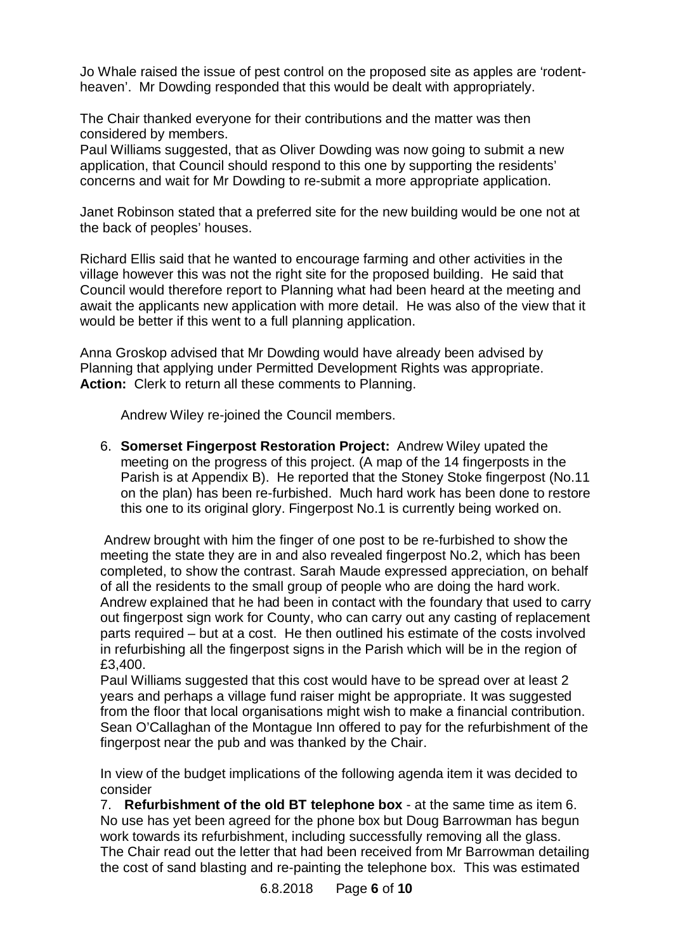Jo Whale raised the issue of pest control on the proposed site as apples are 'rodentheaven'. Mr Dowding responded that this would be dealt with appropriately.

The Chair thanked everyone for their contributions and the matter was then considered by members.

Paul Williams suggested, that as Oliver Dowding was now going to submit a new application, that Council should respond to this one by supporting the residents' concerns and wait for Mr Dowding to re-submit a more appropriate application.

Janet Robinson stated that a preferred site for the new building would be one not at the back of peoples' houses.

Richard Ellis said that he wanted to encourage farming and other activities in the village however this was not the right site for the proposed building. He said that Council would therefore report to Planning what had been heard at the meeting and await the applicants new application with more detail. He was also of the view that it would be better if this went to a full planning application.

Anna Groskop advised that Mr Dowding would have already been advised by Planning that applying under Permitted Development Rights was appropriate. **Action:** Clerk to return all these comments to Planning.

Andrew Wiley re-joined the Council members.

6. **Somerset Fingerpost Restoration Project:** Andrew Wiley upated the meeting on the progress of this project. (A map of the 14 fingerposts in the Parish is at Appendix B). He reported that the Stoney Stoke fingerpost (No.11 on the plan) has been re-furbished. Much hard work has been done to restore this one to its original glory. Fingerpost No.1 is currently being worked on.

 Andrew brought with him the finger of one post to be re-furbished to show the meeting the state they are in and also revealed fingerpost No.2, which has been completed, to show the contrast. Sarah Maude expressed appreciation, on behalf of all the residents to the small group of people who are doing the hard work. Andrew explained that he had been in contact with the foundary that used to carry out fingerpost sign work for County, who can carry out any casting of replacement parts required – but at a cost. He then outlined his estimate of the costs involved in refurbishing all the fingerpost signs in the Parish which will be in the region of £3,400.

Paul Williams suggested that this cost would have to be spread over at least 2 years and perhaps a village fund raiser might be appropriate. It was suggested from the floor that local organisations might wish to make a financial contribution. Sean O'Callaghan of the Montague Inn offered to pay for the refurbishment of the fingerpost near the pub and was thanked by the Chair.

In view of the budget implications of the following agenda item it was decided to consider

7. **Refurbishment of the old BT telephone box** - at the same time as item 6. No use has yet been agreed for the phone box but Doug Barrowman has begun work towards its refurbishment, including successfully removing all the glass. The Chair read out the letter that had been received from Mr Barrowman detailing the cost of sand blasting and re-painting the telephone box. This was estimated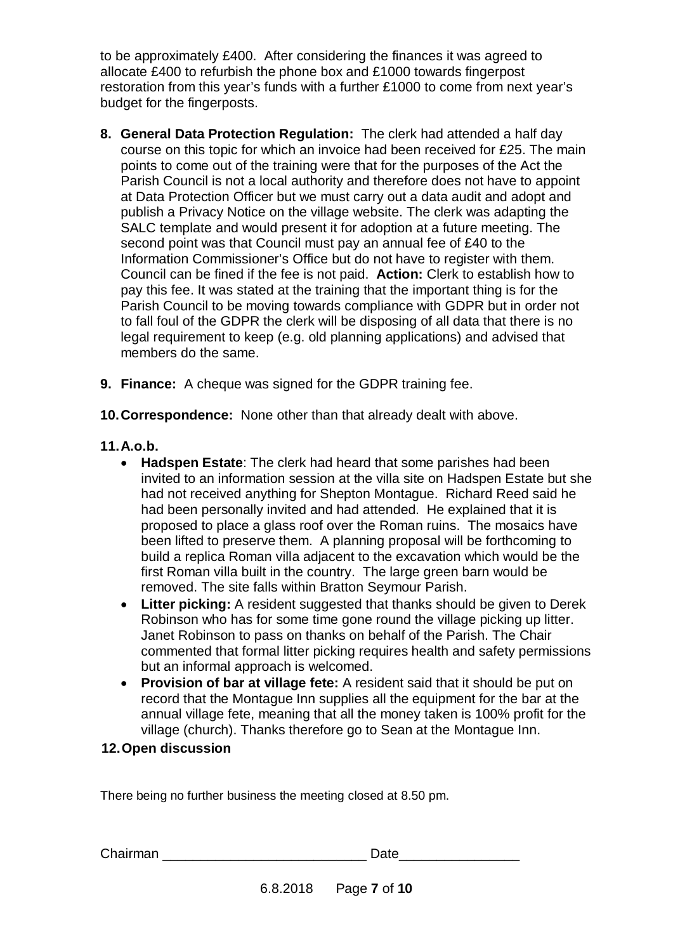to be approximately £400. After considering the finances it was agreed to allocate £400 to refurbish the phone box and £1000 towards fingerpost restoration from this year's funds with a further £1000 to come from next year's budget for the fingerposts.

- **8. General Data Protection Regulation:** The clerk had attended a half day course on this topic for which an invoice had been received for £25. The main points to come out of the training were that for the purposes of the Act the Parish Council is not a local authority and therefore does not have to appoint at Data Protection Officer but we must carry out a data audit and adopt and publish a Privacy Notice on the village website. The clerk was adapting the SALC template and would present it for adoption at a future meeting. The second point was that Council must pay an annual fee of £40 to the Information Commissioner's Office but do not have to register with them. Council can be fined if the fee is not paid. **Action:** Clerk to establish how to pay this fee. It was stated at the training that the important thing is for the Parish Council to be moving towards compliance with GDPR but in order not to fall foul of the GDPR the clerk will be disposing of all data that there is no legal requirement to keep (e.g. old planning applications) and advised that members do the same.
- **9. Finance:** A cheque was signed for the GDPR training fee.
- **10. Correspondence:** None other than that already dealt with above.
- **11. A.o.b.**
	- · **Hadspen Estate**: The clerk had heard that some parishes had been invited to an information session at the villa site on Hadspen Estate but she had not received anything for Shepton Montague. Richard Reed said he had been personally invited and had attended. He explained that it is proposed to place a glass roof over the Roman ruins. The mosaics have been lifted to preserve them. A planning proposal will be forthcoming to build a replica Roman villa adjacent to the excavation which would be the first Roman villa built in the country. The large green barn would be removed. The site falls within Bratton Seymour Parish.
	- · **Litter picking:** A resident suggested that thanks should be given to Derek Robinson who has for some time gone round the village picking up litter. Janet Robinson to pass on thanks on behalf of the Parish. The Chair commented that formal litter picking requires health and safety permissions but an informal approach is welcomed.
	- · **Provision of bar at village fete:** A resident said that it should be put on record that the Montague Inn supplies all the equipment for the bar at the annual village fete, meaning that all the money taken is 100% profit for the village (church). Thanks therefore go to Sean at the Montague Inn.

# **12. Open discussion**

There being no further business the meeting closed at 8.50 pm.

| Chairman |  |
|----------|--|
|----------|--|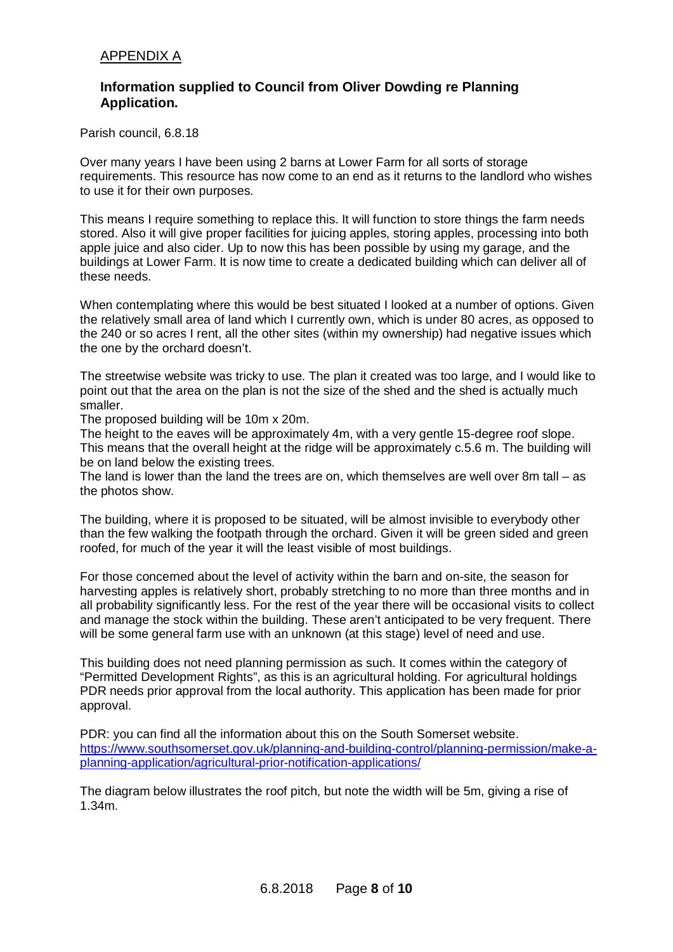## **Information supplied to Council from Oliver Dowding re Planning Application.**

Parish council, 6.8.18

Over many years I have been using 2 barns at Lower Farm for all sorts of storage requirements. This resource has now come to an end as it returns to the landlord who wishes to use it for their own purposes.

This means I require something to replace this. It will function to store things the farm needs stored. Also it will give proper facilities for juicing apples, storing apples, processing into both apple juice and also cider. Up to now this has been possible by using my garage, and the buildings at Lower Farm. It is now time to create a dedicated building which can deliver all of these needs.

When contemplating where this would be best situated I looked at a number of options. Given the relatively small area of land which I currently own, which is under 80 acres, as opposed to the 240 or so acres I rent, all the other sites (within my ownership) had negative issues which the one by the orchard doesn't.

The streetwise website was tricky to use. The plan it created was too large, and I would like to point out that the area on the plan is not the size of the shed and the shed is actually much smaller.

The proposed building will be 10m x 20m.

The height to the eaves will be approximately 4m, with a very gentle 15-degree roof slope. This means that the overall height at the ridge will be approximately c.5.6 m. The building will be on land below the existing trees.

The land is lower than the land the trees are on, which themselves are well over 8m tall – as the photos show.

The building, where it is proposed to be situated, will be almost invisible to everybody other than the few walking the footpath through the orchard. Given it will be green sided and green roofed, for much of the year it will the least visible of most buildings.

For those concerned about the level of activity within the barn and on-site, the season for harvesting apples is relatively short, probably stretching to no more than three months and in all probability significantly less. For the rest of the year there will be occasional visits to collect and manage the stock within the building. These aren't anticipated to be very frequent. There will be some general farm use with an unknown (at this stage) level of need and use.

This building does not need planning permission as such. It comes within the category of "Permitted Development Rights", as this is an agricultural holding. For agricultural holdings PDR needs prior approval from the local authority. This application has been made for prior approval.

PDR: you can find all the information about this on the South Somerset website. [https://www.southsomerset.gov.uk/planning-and-building-control/planning-permission/make-a](https://www.southsomerset.gov.uk/planning-and-building-control/planning-permission/make-a-planning-application/agricultural-prior-notification-applications/)[planning-application/agricultural-prior-notification-applications/](https://www.southsomerset.gov.uk/planning-and-building-control/planning-permission/make-a-planning-application/agricultural-prior-notification-applications/)

The diagram below illustrates the roof pitch, but note the width will be 5m, giving a rise of 1.34m.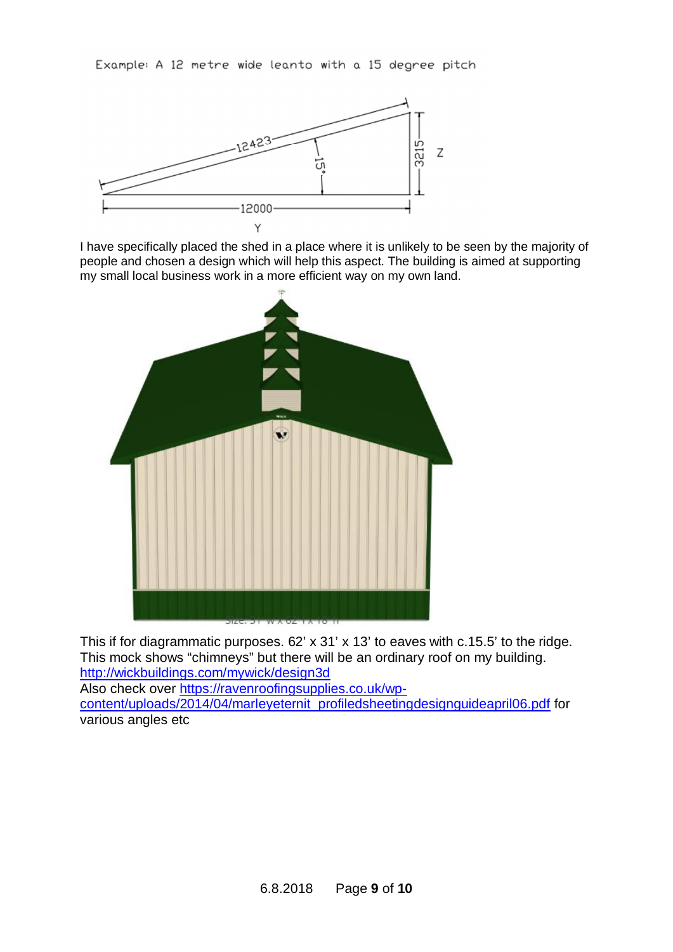Example: A 12 metre wide leanto with a 15 degree pitch



I have specifically placed the shed in a place where it is unlikely to be seen by the majority of people and chosen a design which will help this aspect. The building is aimed at supporting my small local business work in a more efficient way on my own land.



This if for diagrammatic purposes. 62' x 31' x 13' to eaves with c.15.5' to the ridge. This mock shows "chimneys" but there will be an ordinary roof on my building. <http://wickbuildings.com/mywick/design3d> Also check over [https://ravenroofingsupplies.co.uk/wp-](https://ravenroofingsupplies.co.uk/wp-content/uploads/2014/04/marleyeternit_profiledsheetingdesignguideapril06.pdf)

[content/uploads/2014/04/marleyeternit\\_profiledsheetingdesignguideapril06.pdf](https://ravenroofingsupplies.co.uk/wp-content/uploads/2014/04/marleyeternit_profiledsheetingdesignguideapril06.pdf) for various angles etc